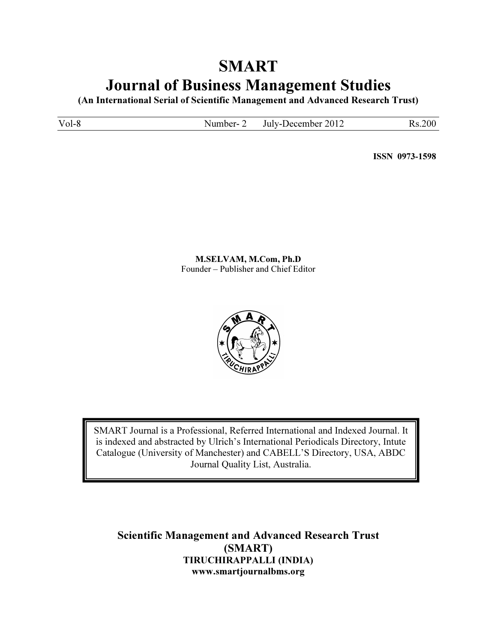# SMART Journal of Business Management Studies

(An International Serial of Scientific Management and Advanced Research Trust)

Vol-8 Number- 2 July-December 2012 Rs.200

ISSN 0973-1598

M.SELVAM, M.Com, Ph.D Founder – Publisher and Chief Editor



SMART Journal is a Professional, Referred International and Indexed Journal. It is indexed and abstracted by Ulrich's International Periodicals Directory, Intute Catalogue (University of Manchester) and CABELL'S Directory, USA, ABDC Journal Quality List, Australia.

Scientific Management and Advanced Research Trust (SMART) TIRUCHIRAPPALLI (INDIA) www.smartjournalbms.org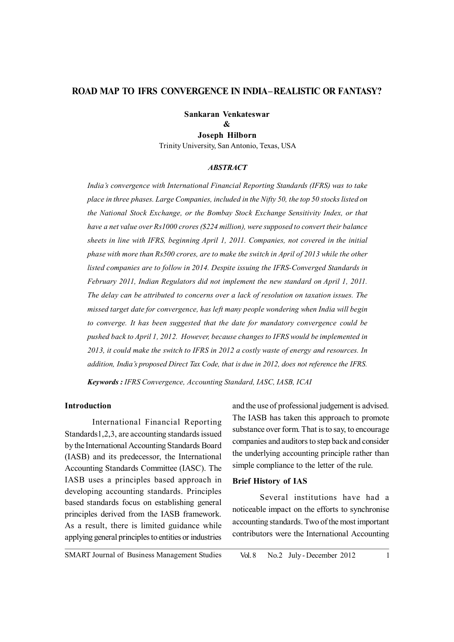# **ROAD MAP TO IFRS CONVERGENCE IN INDIA – REALISTIC OR FANTASY?**

# **Sankaran Venkateswar &**

**Joseph Hilborn** Trinity University, San Antonio, Texas, USA

#### *ABSTRACT*

*India's convergence with International Financial Reporting Standards (IFRS) was to take place in three phases. Large Companies, included in the Nifty 50, the top 50 stocks listed on the National Stock Exchange, or the Bombay Stock Exchange Sensitivity Index, or that have a net value over Rs1000 crores (\$224 million), were supposed to convert their balance sheets in line with IFRS, beginning April 1, 2011. Companies, not covered in the initial phase with more than Rs500 crores, are to make the switch in April of 2013 while the other listed companies are to follow in 2014. Despite issuing the IFRS-Converged Standards in February 2011, Indian Regulators did not implement the new standard on April 1, 2011. The delay can be attributed to concerns over a lack of resolution on taxation issues. The missed target date for convergence, has left many people wondering when India will begin to converge. It has been suggested that the date for mandatory convergence could be pushed back to April 1, 2012. However, because changes to IFRS would be implemented in 2013, it could make the switch to IFRS in 2012 a costly waste of energy and resources. In addition, India's proposed Direct Tax Code, that is due in 2012, does not reference the IFRS.*

*Keywords : IFRS Convergence, Accounting Standard, IASC, IASB, ICAI*

#### **Introduction**

International Financial Reporting Standards1,2,3, are accounting standards issued by the International Accounting Standards Board (IASB) and its predecessor, the International Accounting Standards Committee (IASC). The IASB uses a principles based approach in developing accounting standards. Principles based standards focus on establishing general principles derived from the IASB framework. As a result, there is limited guidance while applying general principles to entities or industries

and the use of professional judgement is advised. The IASB has taken this approach to promote substance over form. That is to say, to encourage companies and auditors to step back and consider the underlying accounting principle rather than simple compliance to the letter of the rule.

#### **Brief History of IAS**

Several institutions have had a noticeable impact on the efforts to synchronise accounting standards. Two of the most important contributors were the International Accounting

SMART Journal of Business Management Studies Vol. 8 No. 2 July - December 2012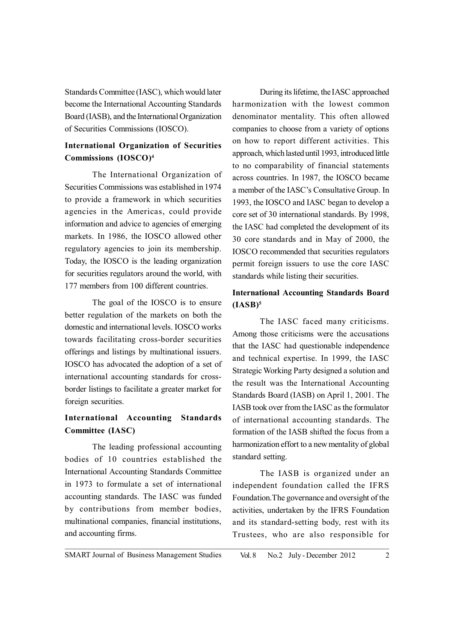Standards Committee (IASC), which would later become the International Accounting Standards Board (IASB), and the International Organization of Securities Commissions (IOSCO).

# **International Organization of Securities Commissions (IOSCO)4**

The International Organization of Securities Commissions was established in 1974 to provide a framework in which securities agencies in the Americas, could provide information and advice to agencies of emerging markets. In 1986, the IOSCO allowed other regulatory agencies to join its membership. Today, the IOSCO is the leading organization for securities regulators around the world, with 177 members from 100 different countries.

The goal of the IOSCO is to ensure better regulation of the markets on both the domestic and international levels. IOSCO works towards facilitating cross-border securities offerings and listings by multinational issuers. IOSCO has advocated the adoption of a set of international accounting standards for crossborder listings to facilitate a greater market for foreign securities.

# **International Accounting Standards Committee (IASC)**

The leading professional accounting bodies of 10 countries established the International Accounting Standards Committee in 1973 to formulate a set of international accounting standards. The IASC was funded by contributions from member bodies, multinational companies, financial institutions, and accounting firms.

During its lifetime, the IASC approached harmonization with the lowest common denominator mentality. This often allowed companies to choose from a variety of options on how to report different activities. This approach, which lasted until 1993, introduced little to no comparability of financial statements across countries. In 1987, the IOSCO became a member of the IASC's Consultative Group. In 1993, the IOSCO and IASC began to develop a core set of 30 international standards. By 1998, the IASC had completed the development of its 30 core standards and in May of 2000, the IOSCO recommended that securities regulators permit foreign issuers to use the core IASC standards while listing their securities.

# **International Accounting Standards Board (IASB)5**

The IASC faced many criticisms. Among those criticisms were the accusations that the IASC had questionable independence and technical expertise. In 1999, the IASC Strategic Working Party designed a solution and the result was the International Accounting Standards Board (IASB) on April 1, 2001. The IASB took over from the IASC as the formulator of international accounting standards. The formation of the IASB shifted the focus from a harmonization effort to a new mentality of global standard setting.

The IASB is organized under an independent foundation called the IFRS Foundation.The governance and oversight of the activities, undertaken by the IFRS Foundation and its standard-setting body, rest with its Trustees, who are also responsible for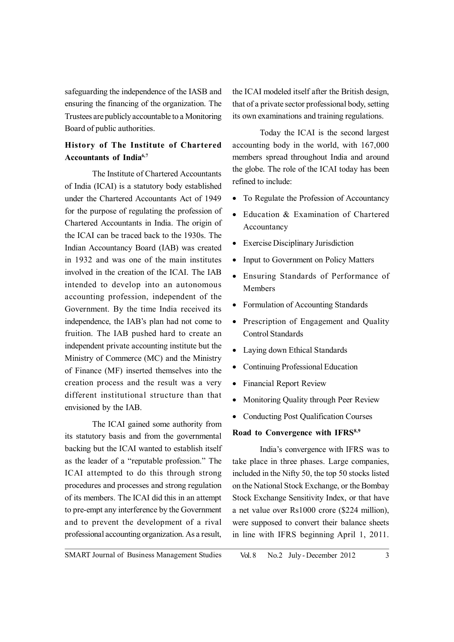safeguarding the independence of the IASB and ensuring the financing of the organization. The Trustees are publicly accountable to a Monitoring Board of public authorities.

# **History of The Institute of Chartered Accountants of India6,7**

The Institute of Chartered Accountants of India (ICAI) is a statutory body established under the Chartered Accountants Act of 1949 for the purpose of regulating the profession of Chartered Accountants in India. The origin of the ICAI can be traced back to the 1930s. The Indian Accountancy Board (IAB) was created in 1932 and was one of the main institutes involved in the creation of the ICAI. The IAB intended to develop into an autonomous accounting profession, independent of the Government. By the time India received its independence, the IAB's plan had not come to fruition. The IAB pushed hard to create an independent private accounting institute but the Ministry of Commerce (MC) and the Ministry of Finance (MF) inserted themselves into the creation process and the result was a very different institutional structure than that envisioned by the IAB.

The ICAI gained some authority from its statutory basis and from the governmental backing but the ICAI wanted to establish itself as the leader of a "reputable profession." The ICAI attempted to do this through strong procedures and processes and strong regulation of its members. The ICAI did this in an attempt to pre-empt any interference by the Government and to prevent the development of a rival professional accounting organization. As a result,

the ICAI modeled itself after the British design, that of a private sector professional body, setting its own examinations and training regulations.

Today the ICAI is the second largest accounting body in the world, with 167,000 members spread throughout India and around the globe. The role of the ICAI today has been refined to include:

- To Regulate the Profession of Accountancy
- Education & Examination of Chartered Accountancy
- Exercise Disciplinary Jurisdiction
- Input to Government on Policy Matters
- Ensuring Standards of Performance of Members
- Formulation of Accounting Standards
- Prescription of Engagement and Quality Control Standards
- Laying down Ethical Standards
- Continuing Professional Education
- Financial Report Review
- Monitoring Quality through Peer Review
- Conducting Post Qualification Courses

## **Road to Convergence with IFRS8,9**

India's convergence with IFRS was to take place in three phases. Large companies, included in the Nifty 50, the top 50 stocks listed on the National Stock Exchange, or the Bombay Stock Exchange Sensitivity Index, or that have a net value over Rs1000 crore (\$224 million), were supposed to convert their balance sheets in line with IFRS beginning April 1, 2011.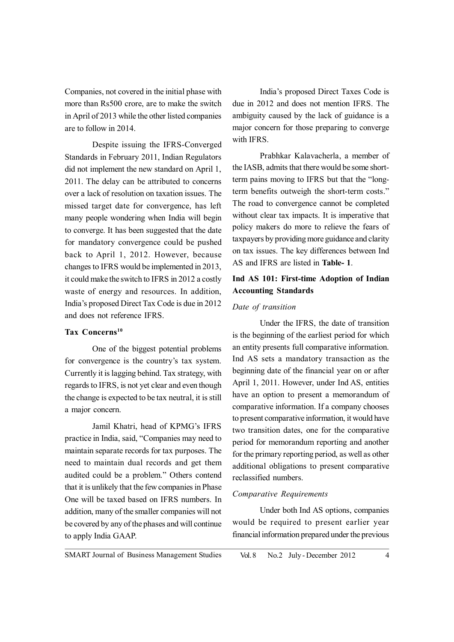Companies, not covered in the initial phase with more than Rs500 crore, are to make the switch in April of 2013 while the other listed companies are to follow in 2014.

Despite issuing the IFRS-Converged Standards in February 2011, Indian Regulators did not implement the new standard on April 1, 2011. The delay can be attributed to concerns over a lack of resolution on taxation issues. The missed target date for convergence, has left many people wondering when India will begin to converge. It has been suggested that the date for mandatory convergence could be pushed back to April 1, 2012. However, because changes to IFRS would be implemented in 2013, it could make the switch to IFRS in 2012 a costly waste of energy and resources. In addition, India's proposed Direct Tax Code is due in 2012 and does not reference IFRS.

## **Tax Concerns10**

One of the biggest potential problems for convergence is the country's tax system. Currently it is lagging behind. Tax strategy, with regards to IFRS, is not yet clear and even though the change is expected to be tax neutral, it is still a major concern.

Jamil Khatri, head of KPMG's IFRS practice in India, said, "Companies may need to maintain separate records for tax purposes. The need to maintain dual records and get them audited could be a problem." Others contend that it is unlikely that the few companies in Phase One will be taxed based on IFRS numbers. In addition, many of the smaller companies will not be covered by any of the phases and will continue to apply India GAAP.

India's proposed Direct Taxes Code is due in 2012 and does not mention IFRS. The ambiguity caused by the lack of guidance is a major concern for those preparing to converge with **IFRS** 

Prabhkar Kalavacherla, a member of the IASB, admits that there would be some shortterm pains moving to IFRS but that the "longterm benefits outweigh the short-term costs." The road to convergence cannot be completed without clear tax impacts. It is imperative that policy makers do more to relieve the fears of taxpayers by providing more guidance and clarity on tax issues. The key differences between Ind AS and IFRS are listed in **Table- 1**.

# **Ind AS 101: First-time Adoption of Indian Accounting Standards**

## *Date of transition*

Under the IFRS, the date of transition is the beginning of the earliest period for which an entity presents full comparative information. Ind AS sets a mandatory transaction as the beginning date of the financial year on or after April 1, 2011. However, under Ind AS, entities have an option to present a memorandum of comparative information. If a company chooses to present comparative information, it would have two transition dates, one for the comparative period for memorandum reporting and another for the primary reporting period, as well as other additional obligations to present comparative reclassified numbers.

#### *Comparative Requirements*

Under both Ind AS options, companies would be required to present earlier year financial information prepared under the previous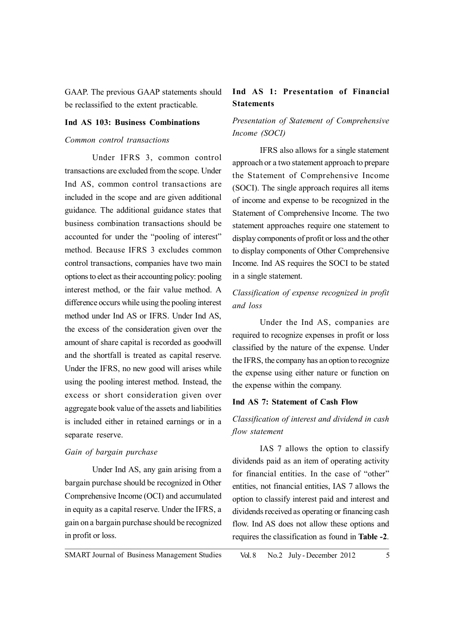GAAP. The previous GAAP statements should be reclassified to the extent practicable.

## **Ind AS 103: Business Combinations**

## *Common control transactions*

Under IFRS 3, common control transactions are excluded from the scope. Under Ind AS, common control transactions are included in the scope and are given additional guidance. The additional guidance states that business combination transactions should be accounted for under the "pooling of interest" method. Because IFRS 3 excludes common control transactions, companies have two main options to elect as their accounting policy: pooling interest method, or the fair value method. A difference occurs while using the pooling interest method under Ind AS or IFRS. Under Ind AS, the excess of the consideration given over the amount of share capital is recorded as goodwill and the shortfall is treated as capital reserve. Under the IFRS, no new good will arises while using the pooling interest method. Instead, the excess or short consideration given over aggregate book value of the assets and liabilities is included either in retained earnings or in a separate reserve.

### *Gain of bargain purchase*

Under Ind AS, any gain arising from a bargain purchase should be recognized in Other Comprehensive Income (OCI) and accumulated in equity as a capital reserve. Under the IFRS, a gain on a bargain purchase should be recognized in profit or loss.

# **Ind AS 1: Presentation of Financial Statements**

# *Presentation of Statement of Comprehensive Income (SOCI)*

IFRS also allows for a single statement approach or a two statement approach to prepare the Statement of Comprehensive Income (SOCI). The single approach requires all items of income and expense to be recognized in the Statement of Comprehensive Income. The two statement approaches require one statement to display components of profit or loss and the other to display components of Other Comprehensive Income. Ind AS requires the SOCI to be stated in a single statement.

# *Classification of expense recognized in profit and loss*

Under the Ind AS, companies are required to recognize expenses in profit or loss classified by the nature of the expense. Under the IFRS, the company has an option to recognize the expense using either nature or function on the expense within the company.

#### **Ind AS 7: Statement of Cash Flow**

# *Classification of interest and dividend in cash flow statement*

IAS 7 allows the option to classify dividends paid as an item of operating activity for financial entities. In the case of "other" entities, not financial entities, IAS 7 allows the option to classify interest paid and interest and dividends received as operating or financing cash flow. Ind AS does not allow these options and requires the classification as found in **Table -2**.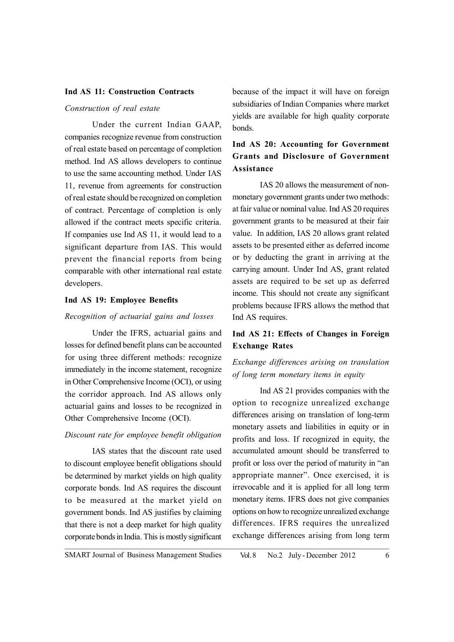#### **Ind AS 11: Construction Contracts**

## *Construction of real estate*

Under the current Indian GAAP, companies recognize revenue from construction of real estate based on percentage of completion method. Ind AS allows developers to continue to use the same accounting method. Under IAS 11, revenue from agreements for construction of real estate should be recognized on completion of contract. Percentage of completion is only allowed if the contract meets specific criteria. If companies use Ind AS 11, it would lead to a significant departure from IAS. This would prevent the financial reports from being comparable with other international real estate developers.

## **Ind AS 19: Employee Benefits**

## *Recognition of actuarial gains and losses*

Under the IFRS, actuarial gains and losses for defined benefit plans can be accounted for using three different methods: recognize immediately in the income statement, recognize in Other Comprehensive Income (OCI), or using the corridor approach. Ind AS allows only actuarial gains and losses to be recognized in Other Comprehensive Income (OCI).

#### *Discount rate for employee benefit obligation*

IAS states that the discount rate used to discount employee benefit obligations should be determined by market yields on high quality corporate bonds. Ind AS requires the discount to be measured at the market yield on government bonds. Ind AS justifies by claiming that there is not a deep market for high quality corporate bonds in India. This is mostly significant

because of the impact it will have on foreign subsidiaries of Indian Companies where market yields are available for high quality corporate bonds.

# **Ind AS 20: Accounting for Government Grants and Disclosure of Government Assistance**

IAS 20 allows the measurement of nonmonetary government grants under two methods: at fair value or nominal value. Ind AS 20 requires government grants to be measured at their fair value. In addition, IAS 20 allows grant related assets to be presented either as deferred income or by deducting the grant in arriving at the carrying amount. Under Ind AS, grant related assets are required to be set up as deferred income. This should not create any significant problems because IFRS allows the method that Ind AS requires.

# **Ind AS 21: Effects of Changes in Foreign Exchange Rates**

# *Exchange differences arising on translation of long term monetary items in equity*

Ind AS 21 provides companies with the option to recognize unrealized exchange differences arising on translation of long-term monetary assets and liabilities in equity or in profits and loss. If recognized in equity, the accumulated amount should be transferred to profit or loss over the period of maturity in "an appropriate manner". Once exercised, it is irrevocable and it is applied for all long term monetary items. IFRS does not give companies options on how to recognize unrealized exchange differences. IFRS requires the unrealized exchange differences arising from long term

SMART Journal of Business Management Studies Vol. 8 No. 2 July - December 2012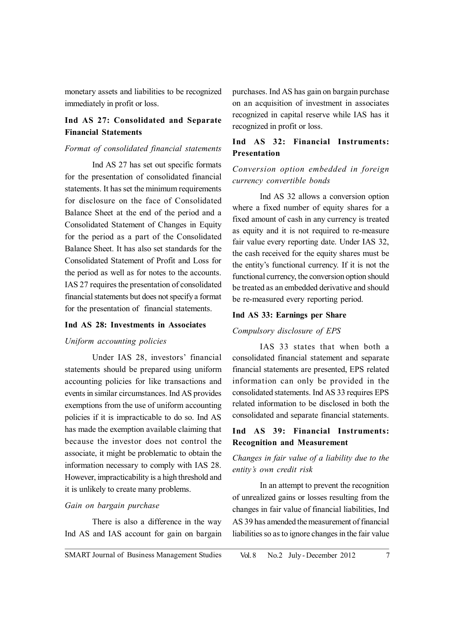monetary assets and liabilities to be recognized immediately in profit or loss.

# **Ind AS 27: Consolidated and Separate Financial Statements**

## *Format of consolidated financial statements*

Ind AS 27 has set out specific formats for the presentation of consolidated financial statements. It has set the minimum requirements for disclosure on the face of Consolidated Balance Sheet at the end of the period and a Consolidated Statement of Changes in Equity for the period as a part of the Consolidated Balance Sheet. It has also set standards for the Consolidated Statement of Profit and Loss for the period as well as for notes to the accounts. IAS 27 requires the presentation of consolidated financial statements but does not specify a format for the presentation of financial statements.

## **Ind AS 28: Investments in Associates**

## *Uniform accounting policies*

Under IAS 28, investors' financial statements should be prepared using uniform accounting policies for like transactions and events in similar circumstances. Ind AS provides exemptions from the use of uniform accounting policies if it is impracticable to do so. Ind AS has made the exemption available claiming that because the investor does not control the associate, it might be problematic to obtain the information necessary to comply with IAS 28. However, impracticability is a high threshold and it is unlikely to create many problems.

#### *Gain on bargain purchase*

There is also a difference in the way Ind AS and IAS account for gain on bargain purchases. Ind AS has gain on bargain purchase on an acquisition of investment in associates recognized in capital reserve while IAS has it recognized in profit or loss.

# **Ind AS 32: Financial Instruments: Presentation**

## *Conversion option embedded in foreign currency convertible bonds*

Ind AS 32 allows a conversion option where a fixed number of equity shares for a fixed amount of cash in any currency is treated as equity and it is not required to re-measure fair value every reporting date. Under IAS 32, the cash received for the equity shares must be the entity's functional currency. If it is not the functional currency, the conversion option should be treated as an embedded derivative and should be re-measured every reporting period.

### **Ind AS 33: Earnings per Share**

#### *Compulsory disclosure of EPS*

IAS 33 states that when both a consolidated financial statement and separate financial statements are presented, EPS related information can only be provided in the consolidated statements. Ind AS 33 requires EPS related information to be disclosed in both the consolidated and separate financial statements.

# **Ind AS 39: Financial Instruments: Recognition and Measurement**

# *Changes in fair value of a liability due to the entity's own credit risk*

In an attempt to prevent the recognition of unrealized gains or losses resulting from the changes in fair value of financial liabilities, Ind AS 39 has amended the measurement of financial liabilities so as to ignore changes in the fair value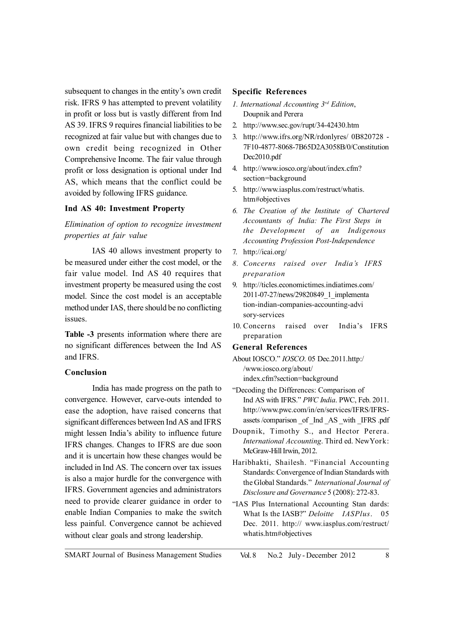subsequent to changes in the entity's own credit risk. IFRS 9 has attempted to prevent volatility in profit or loss but is vastly different from Ind AS 39. IFRS 9 requires financial liabilities to be recognized at fair value but with changes due to own credit being recognized in Other Comprehensive Income. The fair value through profit or loss designation is optional under Ind AS, which means that the conflict could be avoided by following IFRS guidance.

### **Ind AS 40: Investment Property**

*Elimination of option to recognize investment properties at fair value*

IAS 40 allows investment property to be measured under either the cost model, or the fair value model. Ind AS 40 requires that investment property be measured using the cost model. Since the cost model is an acceptable method under IAS, there should be no conflicting issues.

**Table -3** presents information where there are no significant differences between the Ind AS and IFRS.

## **Conclusion**

India has made progress on the path to convergence. However, carve-outs intended to ease the adoption, have raised concerns that significant differences between Ind AS and IFRS might lessen India's ability to influence future IFRS changes. Changes to IFRS are due soon and it is uncertain how these changes would be included in Ind AS. The concern over tax issues is also a major hurdle for the convergence with IFRS. Government agencies and administrators need to provide clearer guidance in order to enable Indian Companies to make the switch less painful. Convergence cannot be achieved without clear goals and strong leadership.

#### **Specific References**

- *1. International Accounting 3rd Edition*, Doupnik and Perera
- 2. http://www.sec.gov/rupt/34-42430.htm
- 3. http://www.ifrs.org/NR/rdonlyres/ 0B820728 7F10-4877-8068-7B65D2A3058B/0/Constitution Dec2010.pdf
- 4. http://www.iosco.org/about/index.cfm? section=background
- 5. http://www.iasplus.com/restruct/whatis. htm#objectives
- *6. The Creation of the Institute of Chartered Accountants of India: The First Steps in the Development of an Indigenous Accounting Profession Post-Independence*
- 7. http://icai.org/
- *8. Concerns raised over India's IFRS preparation*
- 9. http://ticles.economictimes.indiatimes.com/ 2011-07-27/news/29820849\_1\_implementa tion-indian-companies-accounting-advi sory-services
- 10. Concerns raised over India's IFRS preparation

#### **General References**

- About IOSCO." *IOSCO*. 05 Dec.2011.http:/ /www.iosco.org/about/ index.cfm?section=background
- "Decoding the Differences: Comparison of Ind AS with IFRS." *PWC India*. PWC, Feb. 2011. http://www.pwc.com/in/en/services/IFRS/IFRSassets /comparison \_of \_Ind \_AS \_with \_IFRS .pdf
- Doupnik, Timothy S., and Hector Perera. *International Accounting*. Third ed. NewYork: McGraw-Hill Irwin, 2012.
- Haribhakti, Shailesh. "Financial Accounting Standards: Convergence of Indian Standards with the Global Standards." *International Journal of Disclosure and Governance* 5 (2008): 272-83.
- "IAS Plus International Accounting Stan dards: What Is the IASB?" *Deloitte IASPlus*. 05 Dec. 2011. http:// www.iasplus.com/restruct/ whatis.htm#objectives

SMART Journal of Business Management Studies Vol. 8 No. 2 July - December 2012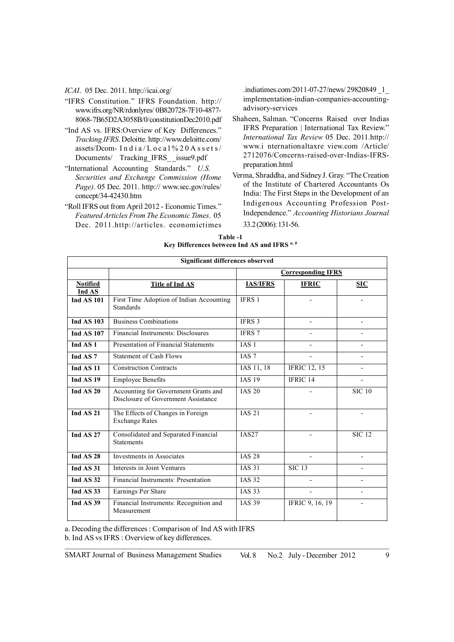*ICAI*. 05 Dec. 2011. http://icai.org/

- "IFRS Constitution." IFRS Foundation. http:// www.ifrs.org/NR/rdonlyres/ 0B820728-7F10-4877- 8068-7B65D2A3058B/0/constitutionDec2010.pdf
- "Ind AS vs. IFRS:Overview of Key Differences." *Tracking IFRS*. Deloitte. http://www.deloitte.com/ assets/Dcom- I n d i a / L o c a l % 2 0 A s s e t s / Documents/ Tracking IFRS issue9.pdf
- "International Accounting Standards." *U.S. Securities and Exchange Commission (Home Page)*. 05 Dec. 2011. http:// www.sec.gov/rules/ concept/34-42430.htm
- "Roll IFRS out from April 2012 Economic Times." *Featured Articles From The Economic Times*. 05 Dec. 2011.http://articles. economictimes

.indiatimes.com/2011-07-27/news/ 29820849 \_1\_ implementation-indian-companies-accountingadvisory-services

- Shaheen, Salman. "Concerns Raised over Indias IFRS Preparation | International Tax Review." *International Tax Review* 05 Dec. 2011.http:// www.i nternationaltaxre view.com /Article/ 2712076/Concerns-raised-over-Indias-IFRSpreparation.html
- Verma, Shraddha, and Sidney J. Gray. "The Creation of the Institute of Chartered Accountants Os India: The First Steps in the Development of an Indigenous Accounting Profession Post-Independence." *Accounting Historians Journal* 33.2 (2006): 131-56.

| Table -1                                                       |
|----------------------------------------------------------------|
| Key Differences between Ind AS and IFRS <sup><i>a, b</i></sup> |

| <b>Significant differences observed</b> |                                                                             |                           |                          |                          |  |  |
|-----------------------------------------|-----------------------------------------------------------------------------|---------------------------|--------------------------|--------------------------|--|--|
|                                         |                                                                             | <b>Corresponding IFRS</b> |                          |                          |  |  |
| <b>Notified</b><br>Ind AS               | <b>Title of Ind AS</b>                                                      | <b>IAS/IFRS</b>           | <b>IFRIC</b>             | <b>SIC</b>               |  |  |
| <b>Ind AS 101</b>                       | First Time Adoption of Indian Accounting<br><b>Standards</b>                | <b>IFRS 1</b>             | -                        |                          |  |  |
| <b>Ind AS 103</b>                       | <b>Business Combinations</b>                                                | IFRS 3                    | $\overline{\phantom{0}}$ | $\overline{\phantom{0}}$ |  |  |
| <b>Ind AS 107</b>                       | Financial Instruments: Disclosures                                          | IFRS 7                    |                          |                          |  |  |
| Ind AS <sub>1</sub>                     | Presentation of Financial Statements                                        | <b>IAS1</b>               |                          |                          |  |  |
| Ind AS <sub>7</sub>                     | <b>Statement of Cash Flows</b>                                              | IAS <sub>7</sub>          | $\overline{\phantom{0}}$ |                          |  |  |
| Ind AS <sub>11</sub>                    | <b>Construction Contracts</b>                                               | IAS 11, 18                | <b>IFRIC 12, 15</b>      |                          |  |  |
| Ind AS <sub>19</sub>                    | <b>Employee Benefits</b>                                                    | <b>IAS 19</b>             | IFRIC $14$               |                          |  |  |
| Ind AS 20                               | Accounting for Government Grants and<br>Disclosure of Government Assistance | <b>IAS 20</b>             |                          | <b>SIC 10</b>            |  |  |
| Ind AS 21                               | The Effects of Changes in Foreign<br><b>Exchange Rates</b>                  | <b>IAS 21</b>             | -                        | $\overline{\phantom{0}}$ |  |  |
| Ind AS 27                               | Consolidated and Separated Financial<br><b>Statements</b>                   | <b>IAS27</b>              | $\overline{\phantom{0}}$ | <b>SIC 12</b>            |  |  |
| Ind AS 28                               | Investments in Associates                                                   | <b>IAS 28</b>             |                          |                          |  |  |
| Ind AS 31                               | Interests in Joint Ventures                                                 | <b>IAS 31</b>             | <b>SIC 13</b>            |                          |  |  |
| Ind AS 32                               | Financial Instruments: Presentation                                         | <b>IAS 32</b>             |                          |                          |  |  |
| Ind AS33                                | Earnings Per Share                                                          | <b>IAS 33</b>             | $\overline{\phantom{0}}$ |                          |  |  |
| Ind AS 39                               | Financial Instruments: Recognition and<br>Measurement                       | <b>IAS 39</b>             | <b>IFRIC 9, 16, 19</b>   |                          |  |  |

a. Decoding the differences : Comparison of Ind AS with IFRS

b. Ind AS vs IFRS : Overview of key differences.

SMART Journal of Business Management Studies Vol. 8 No. 2 July - December 2012

9